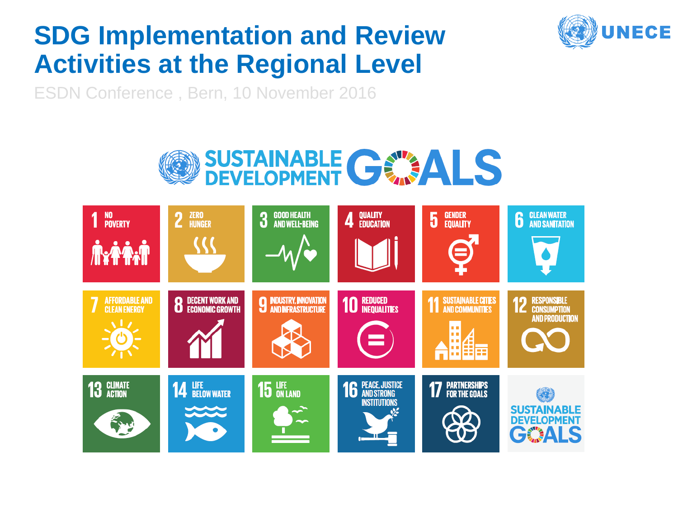#### **SDG Implementation and Review Activities at the Regional Level**



ESDN Conference , Bern, 10 November 2016



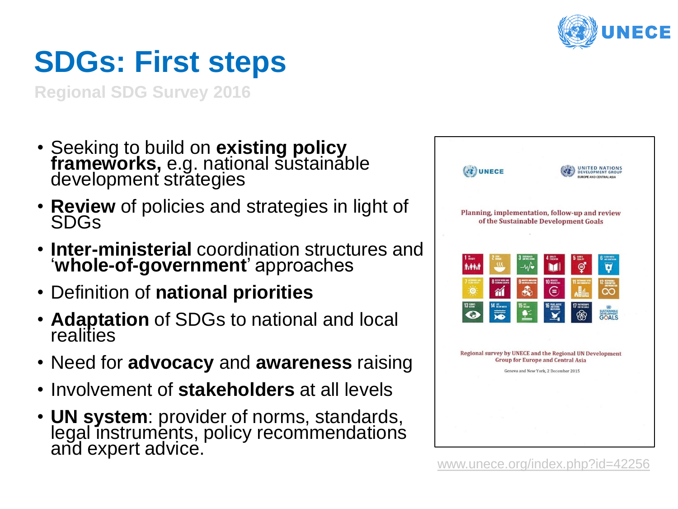

## **SDGs: First steps**

**Regional SDG Survey 2016**

- Seeking to build on **existing policy frameworks,** e.g. national sustainable development strategies
- **Review** of policies and strategies in light of SDGs
- **Inter-ministerial** coordination structures and '**whole-of-government**' approaches
- Definition of **national priorities**
- **Adaptation** of SDGs to national and local realities
- Need for **advocacy** and **awareness** raising
- Involvement of **stakeholders** at all levels
- **UN system**: provider of norms, standards, legal instruments, policy recommendations and expert advice.

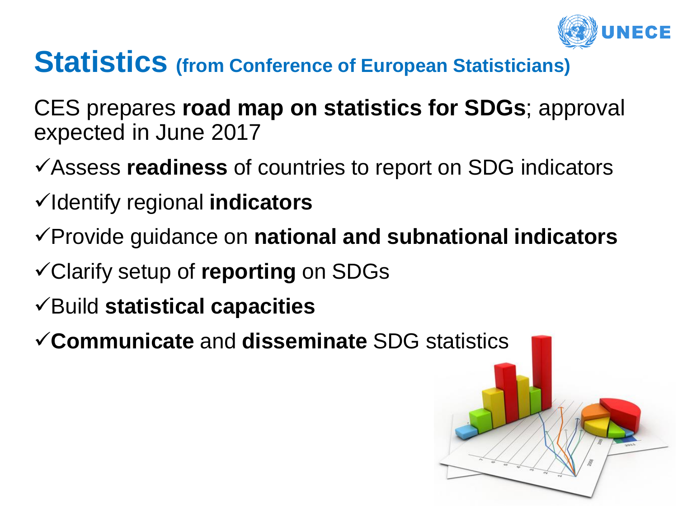

#### **Statistics (from Conference of European Statisticians)**

CES prepares **road map on statistics for SDGs**; approval expected in June 2017

- Assess **readiness** of countries to report on SDG indicators
- Identify regional **indicators**
- Provide guidance on **national and subnational indicators**
- Clarify setup of **reporting** on SDGs
- Build **statistical capacities**
- **Communicate** and **disseminate** SDG statistics

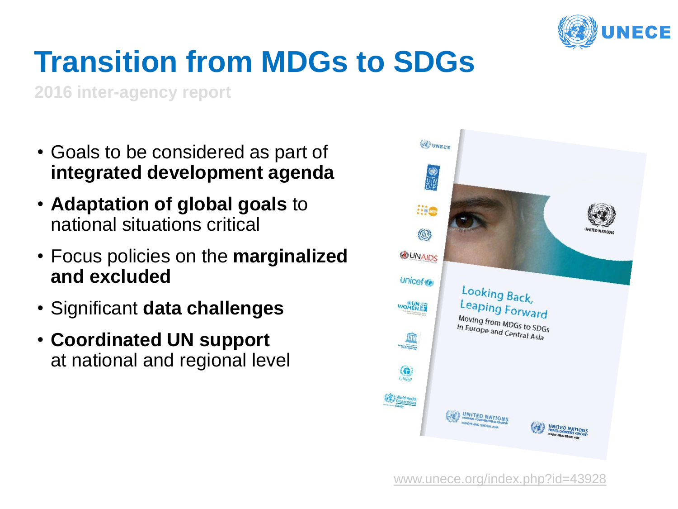

# **Transition from MDGs to SDGs**

**2016 inter-agency report**

- Goals to be considered as part of **integrated development agenda**
- **Adaptation of global goals** to national situations critical
- Focus policies on the **marginalized and excluded**
- Significant **data challenges**
- **Coordinated UN support**  at national and regional level

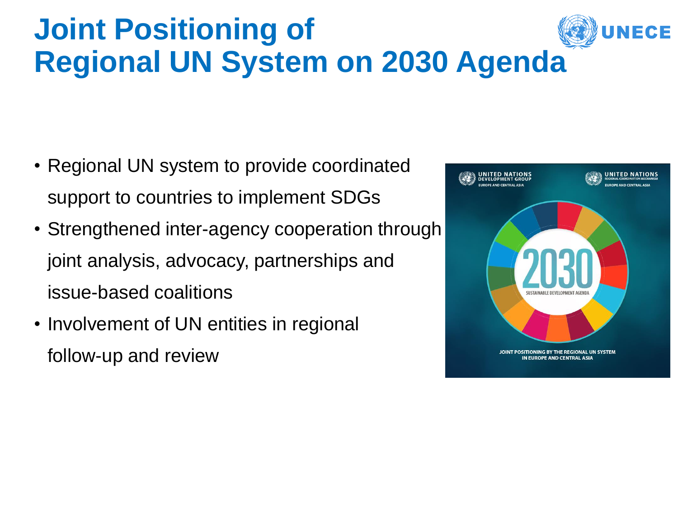## **Joint Positioning of Regional UN System on 2030 Agenda**

- Regional UN system to provide coordinated support to countries to implement SDGs
- Strengthened inter-agency cooperation through joint analysis, advocacy, partnerships and issue-based coalitions
- Involvement of UN entities in regional follow-up and review

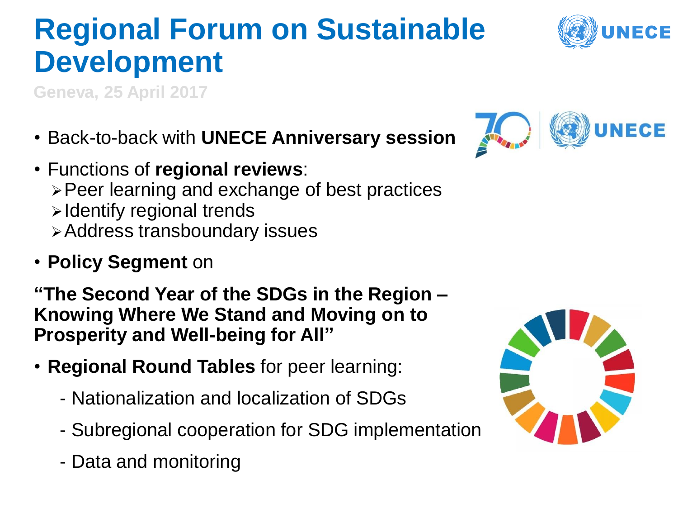# **Regional Forum on Sustainable Development**

**Geneva, 25 April 2017** 

- Back-to-back with **UNECE Anniversary session**
- Functions of **regional reviews**: Peer learning and exchange of best practices > Identify regional trends Address transboundary issues
- **Policy Segment** on

**"The Second Year of the SDGs in the Region – Knowing Where We Stand and Moving on to Prosperity and Well-being for All"**

- **Regional Round Tables** for peer learning:
	- Nationalization and localization of SDGs
	- Subregional cooperation for SDG implementation
	- Data and monitoring





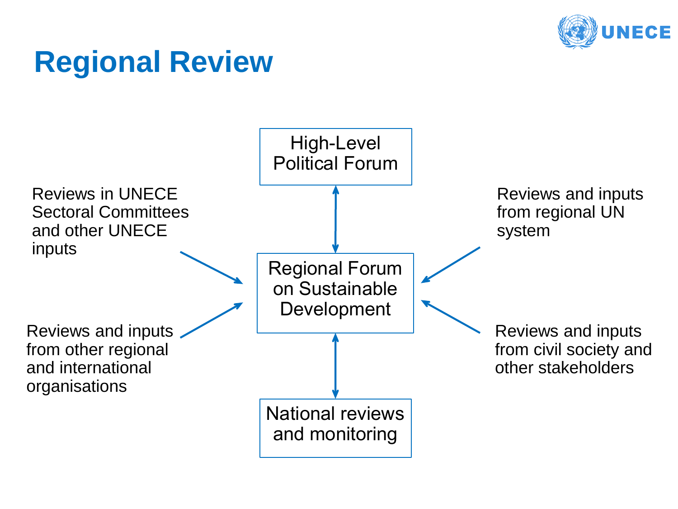

## **Regional Review**